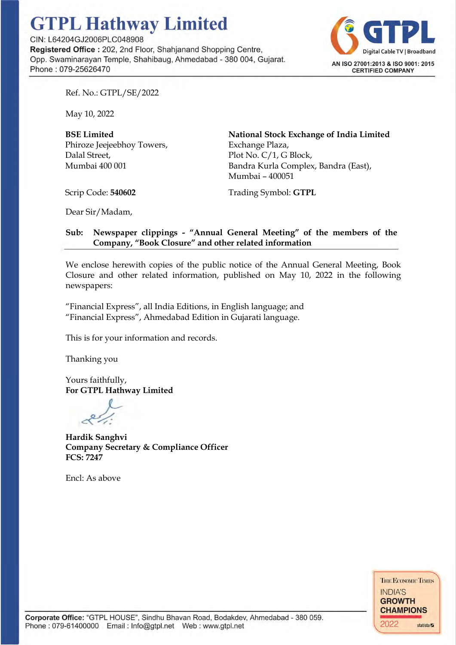# **GTPL Hathway Limited**

CIN: L64204GJ2006PLC048908 **Registered Office** : 202, 2nd Floor, Shahjanand Shopping Centre, Opp. Swaminarayan Temple, Shahibaug, Ahmedabad - 380 004, Gujarat. Phone : 079-256264 70



Ref. No.: GTPL/SE/2022

May 10, 2022

BSE Limited Phiroze Jeejeebhoy Towers, Dalal Street, Mumbai 400 001

National Stock Exchange of India Limited Exchange Plaza, Plot No. C/1, G Block, Bandra Kurla Complex, Bandra (East), Mumbai – 400051

Scrip Code: 540602

Trading Symbol: GTPL

Dear Sir/Madam,

# Sub: Newspaper clippings - "Annual General Meeting" of the members of the Company, "Book Closure" and other related information

We enclose herewith copies of the public notice of the Annual General Meeting, Book Closure and other related information, published on May 10, 2022 in the following newspapers:

"Financial Express", all India Editions, in English language; and "Financial Express", Ahmedabad Edition in Gujarati language.

This is for your information and records.

Thanking you

Yours faithfully, For GTPL Hathway Limited

Hardik Sanghvi Company Secretary & Compliance Officer FCS: 7247

Encl: As above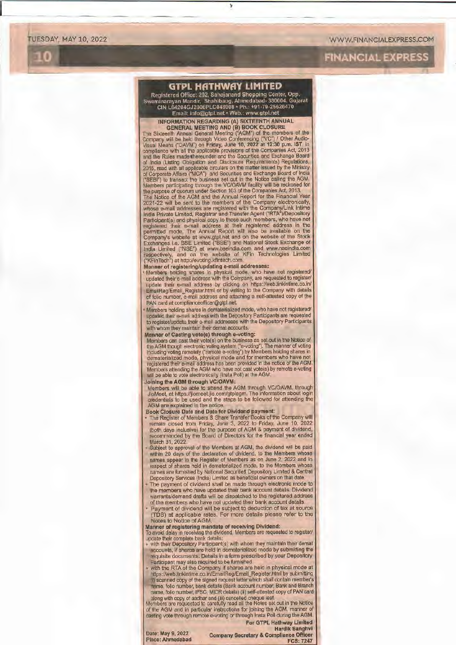TUESDAY, MAY 10, 2022 WWW.FINANCIALEXPRESS.COM

**i**  $\blacksquare$   $\blacksquare$   $\blacksquare$   $\blacksquare$   $\blacksquare$   $\blacksquare$   $\blacksquare$   $\blacksquare$   $\blacksquare$   $\blacksquare$   $\blacksquare$   $\blacksquare$   $\blacksquare$   $\blacksquare$   $\blacksquare$   $\blacksquare$   $\blacksquare$   $\blacksquare$   $\blacksquare$   $\blacksquare$   $\blacksquare$   $\blacksquare$   $\blacksquare$   $\blacksquare$   $\blacksquare$   $\blacksquare$   $\blacksquare$   $\blacksquare$   $\blacksquare$   $\blacksquare$   $\blacksquare$ 

## **GTPL HfiTHWAY LIMITED**

Registered Office: 202, Sahajanand Shopping Center, Opp.<br>Swaminarayan Mandir, Shahibaug, Ahmedabad- 380004, Gujarat CIN L64204GJ2006PLC048908 • Ph. +91-79-25626470 Email 1nfo@gtpl net• Web www gtpl.net

INFORMATION REGARDING (A) SIXTEENTH ANNUAL<br>
GENERAL MEETING AND (B) BOOK CLOSURE<br>
The Sixteenth Annual General Meeting ("AGM") of the members of the<br>
Company will be held through Video Conferencing ("VC") / Other Audio-<br>
V

2015, read with all applicable circulars on the matter issued by the Ministry<br>of Corporate Affairs ("MCA") and Securities and Exchange Board of India<br>("SEBI") to transact the business set out in the Notice calling the AGM.

# **Manner** of **registering/updating e-mail addresses:** • **Members** holding shares in physical mode, who have not registered/

updated their e-mail address with the Company, are requested to register/<br>update\_their\_e-mail\_address\_by\_clicking\_on\_https://web.linkintime.co.in/<br>EmailReg/Email\_Register.html or by\_writing to the Company with details of folio number. e-mail address and attaching a self-attested copy of the PAN card at complianceofficer@gtpl.net.

Members holding shares in dematerialized mode, who have not registered/<br>updated their e-mail address with the Depository Participants are requested<br>to register/update their e-mail addresses with the Depository Participants

with whom they maintain their demat accounts.<br>
Manner of Casting vote(s) through e-voting:<br>
Members can cast their vote(s) on the business as set out in the Notice of<br>
the AGM though electronic voting system ("e-voting").

### Joining the AGM through VC/OAVM:

Members will be able to attend the AGM through VC/OAVM, through<br>JioMeet, at https://jiomeet.jio.com/gtplagm. The information about login<br>credentials to be used and the steps to be followed for attending the AGM are explained in the notice.<br>Book Closure Date and Date for Dividend payment:

- The Register of Members & Share Transfer Books of the Company will remain closed from Friday, June 3, 2022 to Friday, June 10, 2022 (both days inclusive) for the purpose of AGM & payment of dividend, recommended by the Board of Directors for the financial year anded March 31, 2022. • Subject to approval of the Members at **AGM,** the dividend will be paid
- within 20 days of the declaration of dividend, to the Members whose names appear in the Register of Members as on June 2, 2022 and in respect of shares held in dematerialized mode, to the Members whose names are furnished Depository Services (India) Limited as beneficial owners on that date.
- The payment of dividend shall be made through electronic mode to the members who have updated their bank account details. Dividend warrants/demand drafts will be dispatched to the registered address of the members who have not updated their bank account details.
- Payment of dividend will be subject to deduction of tax at source (TDS) at applicable rates. For more details please refer to the
- Notes to Notice of AGM.

**Manner of registering mandate of receiving Dividend:**  To avoid delay in receiving the dividend, Members are requested to register/ update their complete bank details:

- with their Depository Participant(s) with whom they maintain their demat accounts, if shares are held In dematerialized mode by submitting the requisite documents. Details in a form prescribed by your Depository
- Participant may also required to be furnished. with the RTA of the Company if shares are held in physical mode at httpsJ/web.linkintime.co.ln/EmailRag/Email\_Register.html by submitting **(I)** scanned copy of the signed request letter which shall contain member's **name,** folio number, bank details (Bank account number, Bank and Branch

name, folio number, IFSC, MICR details) (ii) self-attested copy of PAN card<br>along with copy of aadhar and (iii) cancelled cheque leaf.<br>Members are requested to carefully read all the Notice<br>mothers are requested to careful **For GTPL Hathway Limited** 

## Hardlk **Sanghvi**

Date: May 9, 2022 Place: Ahmadabad

Company Secretary & Compliance Officer FCS: 7247